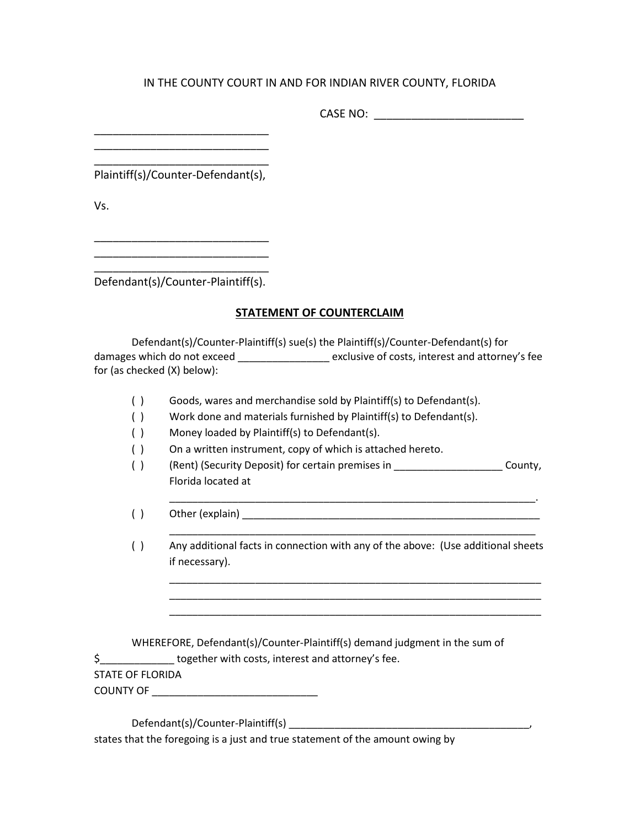## IN THE COUNTY COURT IN AND FOR INDIAN RIVER COUNTY, FLORIDA

CASE NO: \_\_\_\_\_\_\_\_\_\_\_\_\_\_\_\_\_\_\_\_\_\_\_\_

Plaintiff(s)/Counter-Defendant(s),

\_\_\_\_\_\_\_\_\_\_\_\_\_\_\_\_\_\_\_\_\_\_\_\_\_\_\_\_ \_\_\_\_\_\_\_\_\_\_\_\_\_\_\_\_\_\_\_\_\_\_\_\_\_\_\_\_

Vs.

\_\_\_\_\_\_\_\_\_\_\_\_\_\_\_\_\_\_\_\_\_\_\_\_\_\_\_\_ \_\_\_\_\_\_\_\_\_\_\_\_\_\_\_\_\_\_\_\_\_\_\_\_\_\_\_\_

\_\_\_\_\_\_\_\_\_\_\_\_\_\_\_\_\_\_\_\_\_\_\_\_\_\_\_\_

Defendant(s)/Counter-Plaintiff(s).

## **STATEMENT OF COUNTERCLAIM**

Defendant(s)/Counter-Plaintiff(s) sue(s) the Plaintiff(s)/Counter-Defendant(s) for damages which do not exceed \_\_\_\_\_\_\_\_\_\_\_\_\_\_\_\_ exclusive of costs, interest and attorney's fee for (as checked (X) below):

- ( ) Goods, wares and merchandise sold by Plaintiff(s) to Defendant(s).
- ( ) Work done and materials furnished by Plaintiff(s) to Defendant(s).
- ( ) Money loaded by Plaintiff(s) to Defendant(s).
- ( ) On a written instrument, copy of which is attached hereto.
- ( ) (Rent) (Security Deposit) for certain premises in \_\_\_\_\_\_\_\_\_\_\_\_\_\_\_\_\_\_\_\_\_\_\_County, Florida located at
- $( )$  Other (explain)
- ( ) Any additional facts in connection with any of the above: (Use additional sheets if necessary).

\_\_\_\_\_\_\_\_\_\_\_\_\_\_\_\_\_\_\_\_\_\_\_\_\_\_\_\_\_\_\_\_\_\_\_\_\_\_\_\_\_\_\_\_\_\_\_\_\_\_\_\_\_\_\_\_\_\_\_\_\_\_\_\_

\_\_\_\_\_\_\_\_\_\_\_\_\_\_\_\_\_\_\_\_\_\_\_\_\_\_\_\_\_\_\_\_\_\_\_\_\_\_\_\_\_\_\_\_\_\_\_\_\_\_\_\_\_\_\_\_\_\_\_\_\_\_\_\_\_ \_\_\_\_\_\_\_\_\_\_\_\_\_\_\_\_\_\_\_\_\_\_\_\_\_\_\_\_\_\_\_\_\_\_\_\_\_\_\_\_\_\_\_\_\_\_\_\_\_\_\_\_\_\_\_\_\_\_\_\_\_\_\_\_\_ \_\_\_\_\_\_\_\_\_\_\_\_\_\_\_\_\_\_\_\_\_\_\_\_\_\_\_\_\_\_\_\_\_\_\_\_\_\_\_\_\_\_\_\_\_\_\_\_\_\_\_\_\_\_\_\_\_\_\_\_\_\_\_\_\_

WHEREFORE, Defendant(s)/Counter-Plaintiff(s) demand judgment in the sum of

\$\_\_\_\_\_\_\_\_\_\_\_\_\_ together with costs, interest and attorney's fee.

## STATE OF FLORIDA

COUNTY OF **EXECUTE A SECURE A SECURE A** 

Defendant(s)/Counter-Plaintiff(s) \_\_\_\_\_\_\_\_\_\_\_\_\_\_\_\_\_\_\_\_\_\_\_\_\_\_\_\_\_\_\_\_\_\_\_\_\_\_\_\_\_\_,

states that the foregoing is a just and true statement of the amount owing by